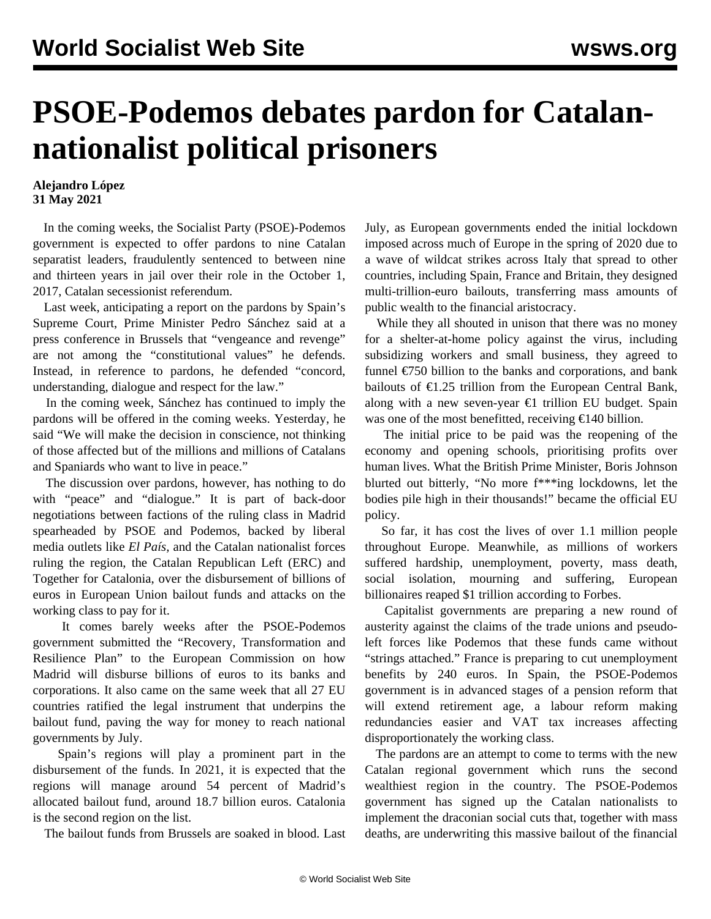## **PSOE-Podemos debates pardon for Catalannationalist political prisoners**

## **Alejandro López 31 May 2021**

 In the coming weeks, the Socialist Party (PSOE)-Podemos government is expected to offer pardons to nine Catalan separatist leaders, fraudulently sentenced to between nine and thirteen years in jail over their role in the October 1, 2017, Catalan secessionist referendum.

 Last week, anticipating a report on the pardons by Spain's Supreme Court, Prime Minister Pedro Sánchez said at a press conference in Brussels that "vengeance and revenge" are not among the "constitutional values" he defends. Instead, in reference to pardons, he defended "concord, understanding, dialogue and respect for the law."

 In the coming week, Sánchez has continued to imply the pardons will be offered in the coming weeks. Yesterday, he said "We will make the decision in conscience, not thinking of those affected but of the millions and millions of Catalans and Spaniards who want to live in peace."

 The discussion over pardons, however, has nothing to do with "peace" and "dialogue." It is part of back-door negotiations between factions of the ruling class in Madrid spearheaded by PSOE and Podemos, backed by liberal media outlets like *El País,* and the Catalan nationalist forces ruling the region, the Catalan Republican Left (ERC) and Together for Catalonia, over the disbursement of billions of euros in European Union bailout funds and attacks on the working class to pay for it.

 It comes barely weeks after the PSOE-Podemos government submitted the "Recovery, Transformation and Resilience Plan" to the European Commission on how Madrid will disburse billions of euros to its banks and corporations. It also came on the same week that all 27 EU countries ratified the legal instrument that underpins the bailout fund, paving the way for money to reach national governments by July.

 Spain's regions will play a prominent part in the disbursement of the funds. In 2021, it is expected that the regions will manage around 54 percent of Madrid's allocated bailout fund, around 18.7 billion euros. Catalonia is the second region on the list.

The bailout funds from Brussels are soaked in blood. Last

July, as European governments ended the initial lockdown imposed across much of Europe in the spring of 2020 due to a wave of wildcat strikes across Italy that spread to other countries, including Spain, France and Britain, they designed multi-trillion-euro bailouts, transferring mass amounts of public wealth to the financial aristocracy.

 While they all shouted in unison that there was no money for a shelter-at-home policy against the virus, including subsidizing workers and small business, they agreed to funnel  $\epsilon$ 750 billion to the banks and corporations, and bank bailouts of  $\epsilon$ 1.25 trillion from the European Central Bank, along with a new seven-year  $\epsilon$ 1 trillion EU budget. Spain was one of the most benefitted, receiving  $\epsilon$ 140 billion.

 The initial price to be paid was the reopening of the economy and opening schools, prioritising profits over human lives. What the British Prime Minister, Boris Johnson blurted out bitterly, "No more f\*\*\*ing lockdowns, let the bodies pile high in their thousands!" became the official EU policy.

 So far, it has cost the lives of over 1.1 million people throughout Europe. Meanwhile, as millions of workers suffered hardship, unemployment, poverty, mass death, social isolation, mourning and suffering, European billionaires reaped \$1 trillion according to Forbes.

 Capitalist governments are preparing a new round of austerity against the claims of the trade unions and pseudoleft forces like Podemos that these funds came without "strings attached." France is preparing to cut unemployment benefits by 240 euros. In Spain, the PSOE-Podemos government is in advanced stages of a pension reform that will extend retirement age, a labour reform making redundancies easier and VAT tax increases affecting disproportionately the working class.

 The pardons are an attempt to come to terms with the new Catalan regional government which runs the second wealthiest region in the country. The PSOE-Podemos government has signed up the Catalan nationalists to implement the draconian social cuts that, together with mass deaths, are underwriting this massive bailout of the financial